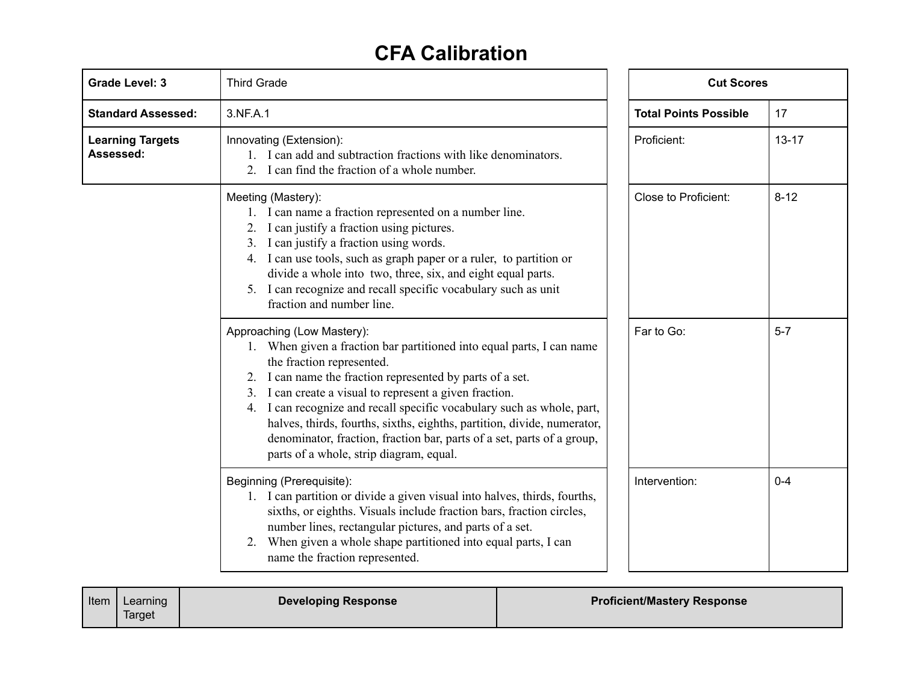## **CFA Calibration**

| <b>Grade Level: 3</b>                | <b>Third Grade</b>                                                                                                                                                                                                                                                                                                                                                                                                                                                                                                                 |                      | <b>Cut Scores</b> |  |
|--------------------------------------|------------------------------------------------------------------------------------------------------------------------------------------------------------------------------------------------------------------------------------------------------------------------------------------------------------------------------------------------------------------------------------------------------------------------------------------------------------------------------------------------------------------------------------|----------------------|-------------------|--|
| <b>Standard Assessed:</b>            | 3.NF.A.1                                                                                                                                                                                                                                                                                                                                                                                                                                                                                                                           |                      | 17                |  |
| <b>Learning Targets</b><br>Assessed: | Innovating (Extension):<br>1. I can add and subtraction fractions with like denominators.<br>2. I can find the fraction of a whole number.                                                                                                                                                                                                                                                                                                                                                                                         |                      | $13 - 17$         |  |
|                                      | Meeting (Mastery):<br>1. I can name a fraction represented on a number line.<br>2. I can justify a fraction using pictures.<br>3. I can justify a fraction using words.<br>4. I can use tools, such as graph paper or a ruler, to partition or<br>divide a whole into two, three, six, and eight equal parts.<br>5. I can recognize and recall specific vocabulary such as unit<br>fraction and number line.                                                                                                                       | Close to Proficient: | $8 - 12$          |  |
|                                      | Approaching (Low Mastery):<br>1. When given a fraction bar partitioned into equal parts, I can name<br>the fraction represented.<br>2. I can name the fraction represented by parts of a set.<br>3. I can create a visual to represent a given fraction.<br>4. I can recognize and recall specific vocabulary such as whole, part,<br>halves, thirds, fourths, sixths, eighths, partition, divide, numerator,<br>denominator, fraction, fraction bar, parts of a set, parts of a group,<br>parts of a whole, strip diagram, equal. | Far to Go:           | $5 - 7$           |  |
|                                      | Beginning (Prerequisite):<br>1. I can partition or divide a given visual into halves, thirds, fourths,<br>sixths, or eighths. Visuals include fraction bars, fraction circles,<br>number lines, rectangular pictures, and parts of a set.<br>2. When given a whole shape partitioned into equal parts, I can<br>name the fraction represented.                                                                                                                                                                                     | Intervention:        | $0 - 4$           |  |

| Item |
|------|
|------|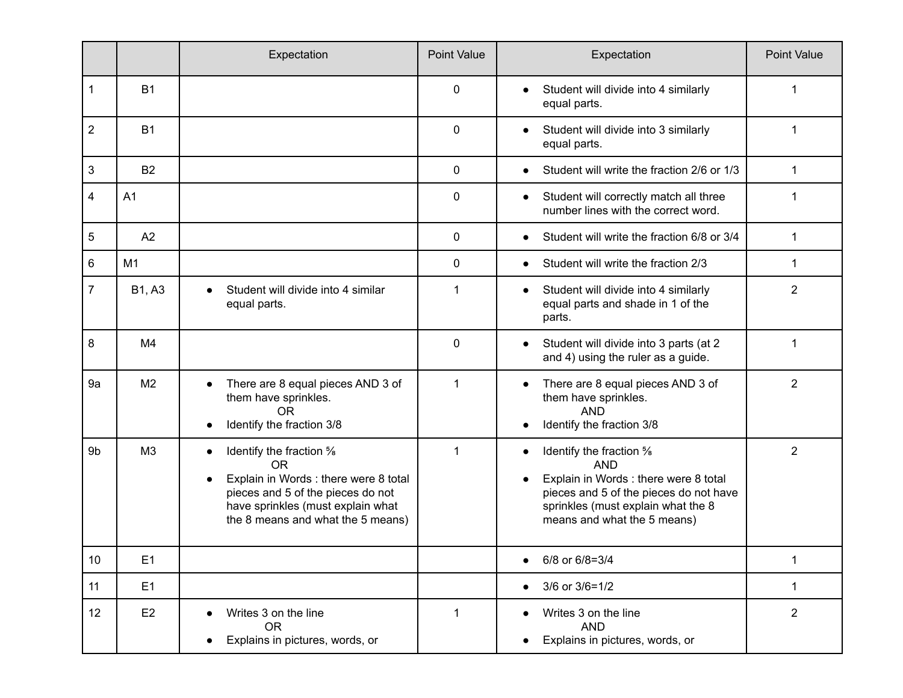|                           |                | Expectation                                                                                                                                                                                                            | <b>Point Value</b> | Expectation                                                                                                                                                                                                     | <b>Point Value</b> |
|---------------------------|----------------|------------------------------------------------------------------------------------------------------------------------------------------------------------------------------------------------------------------------|--------------------|-----------------------------------------------------------------------------------------------------------------------------------------------------------------------------------------------------------------|--------------------|
| 1                         | <b>B1</b>      |                                                                                                                                                                                                                        | $\mathbf{0}$       | Student will divide into 4 similarly<br>$\bullet$<br>equal parts.                                                                                                                                               | 1                  |
| $\overline{2}$            | <b>B1</b>      |                                                                                                                                                                                                                        | $\mathbf 0$        | Student will divide into 3 similarly<br>$\bullet$<br>equal parts.                                                                                                                                               | 1                  |
| $\ensuremath{\mathsf{3}}$ | <b>B2</b>      |                                                                                                                                                                                                                        | $\mathbf 0$        | Student will write the fraction 2/6 or 1/3<br>$\bullet$                                                                                                                                                         | $\mathbf 1$        |
| 4                         | A <sub>1</sub> |                                                                                                                                                                                                                        | $\mathbf{0}$       | Student will correctly match all three<br>$\bullet$<br>number lines with the correct word.                                                                                                                      | 1                  |
| 5                         | A2             |                                                                                                                                                                                                                        | $\mathbf 0$        | Student will write the fraction 6/8 or 3/4<br>$\bullet$                                                                                                                                                         | 1                  |
| 6                         | M1             |                                                                                                                                                                                                                        | $\mathbf{0}$       | Student will write the fraction 2/3<br>$\bullet$                                                                                                                                                                | 1                  |
| 7                         | <b>B1, A3</b>  | Student will divide into 4 similar<br>$\bullet$<br>equal parts.                                                                                                                                                        | 1                  | Student will divide into 4 similarly<br>$\bullet$<br>equal parts and shade in 1 of the<br>parts.                                                                                                                | $\overline{2}$     |
| 8                         | M4             |                                                                                                                                                                                                                        | $\mathbf{0}$       | Student will divide into 3 parts (at 2<br>$\bullet$<br>and 4) using the ruler as a guide.                                                                                                                       | 1                  |
| 9a                        | M <sub>2</sub> | There are 8 equal pieces AND 3 of<br>$\bullet$<br>them have sprinkles.<br><b>OR</b><br>Identify the fraction 3/8                                                                                                       | 1                  | There are 8 equal pieces AND 3 of<br>$\bullet$<br>them have sprinkles.<br><b>AND</b><br>Identify the fraction 3/8<br>٠                                                                                          | $\overline{2}$     |
| 9 <sub>b</sub>            | M <sub>3</sub> | Identify the fraction %<br>$\bullet$<br><b>OR</b><br>Explain in Words : there were 8 total<br>$\bullet$<br>pieces and 5 of the pieces do not<br>have sprinkles (must explain what<br>the 8 means and what the 5 means) | 1                  | Identify the fraction %<br>٠<br><b>AND</b><br>Explain in Words : there were 8 total<br>$\bullet$<br>pieces and 5 of the pieces do not have<br>sprinkles (must explain what the 8<br>means and what the 5 means) | $\overline{2}$     |
| 10                        | E <sub>1</sub> |                                                                                                                                                                                                                        |                    | 6/8 or 6/8=3/4                                                                                                                                                                                                  | 1                  |
| 11                        | E1             |                                                                                                                                                                                                                        |                    | 3/6 or 3/6=1/2<br>$\bullet$                                                                                                                                                                                     | $\mathbf{1}$       |
| 12                        | E <sub>2</sub> | Writes 3 on the line<br><b>OR</b><br>Explains in pictures, words, or                                                                                                                                                   | $\mathbf 1$        | Writes 3 on the line<br><b>AND</b><br>Explains in pictures, words, or                                                                                                                                           | $\overline{2}$     |